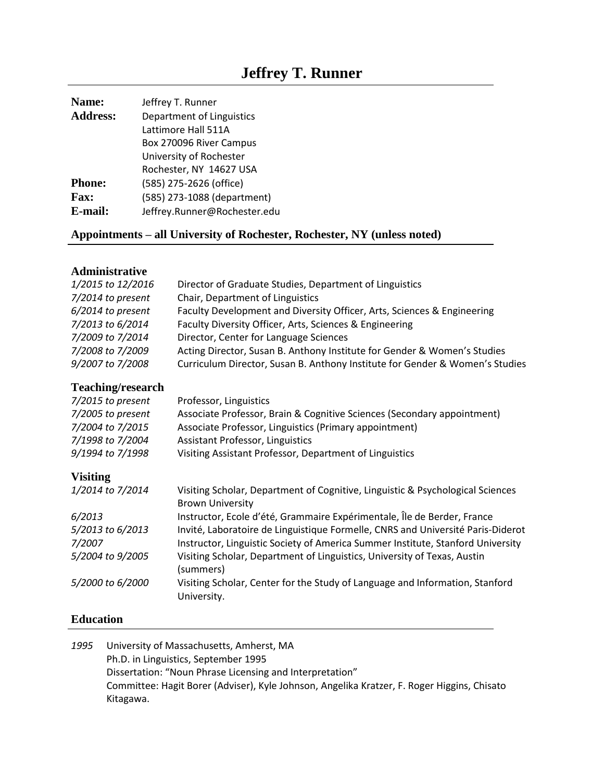# **Jeffrey T. Runner**

| Name:           | Jeffrey T. Runner            |
|-----------------|------------------------------|
| <b>Address:</b> | Department of Linguistics    |
|                 | Lattimore Hall 511A          |
|                 | Box 270096 River Campus      |
|                 | University of Rochester      |
|                 | Rochester, NY 14627 USA      |
| <b>Phone:</b>   | (585) 275-2626 (office)      |
| <b>Fax:</b>     | (585) 273-1088 (department)  |
| E-mail:         | Jeffrey.Runner@Rochester.edu |

## **Appointments – all University of Rochester, Rochester, NY (unless noted)**

## **Administrative**

| 1/2015 to 12/2016        | Director of Graduate Studies, Department of Linguistics                                                   |
|--------------------------|-----------------------------------------------------------------------------------------------------------|
| 7/2014 to present        | Chair, Department of Linguistics                                                                          |
| 6/2014 to present        | Faculty Development and Diversity Officer, Arts, Sciences & Engineering                                   |
| 7/2013 to 6/2014         | Faculty Diversity Officer, Arts, Sciences & Engineering                                                   |
| 7/2009 to 7/2014         | Director, Center for Language Sciences                                                                    |
| 7/2008 to 7/2009         | Acting Director, Susan B. Anthony Institute for Gender & Women's Studies                                  |
| 9/2007 to 7/2008         | Curriculum Director, Susan B. Anthony Institute for Gender & Women's Studies                              |
| <b>Teaching/research</b> |                                                                                                           |
| 7/2015 to present        | Professor, Linguistics                                                                                    |
| 7/2005 to present        | Associate Professor, Brain & Cognitive Sciences (Secondary appointment)                                   |
| 7/2004 to 7/2015         | Associate Professor, Linguistics (Primary appointment)                                                    |
| 7/1998 to 7/2004         | <b>Assistant Professor, Linguistics</b>                                                                   |
| 9/1994 to 7/1998         | Visiting Assistant Professor, Department of Linguistics                                                   |
| <b>Visiting</b>          |                                                                                                           |
| 1/2014 to 7/2014         | Visiting Scholar, Department of Cognitive, Linguistic & Psychological Sciences<br><b>Brown University</b> |
| 6/2013                   | Instructor, Ecole d'été, Grammaire Expérimentale, Île de Berder, France                                   |
| 5/2013 to 6/2013         | Invité, Laboratoire de Linguistique Formelle, CNRS and Université Paris-Diderot                           |
| 7/2007                   | Instructor, Linguistic Society of America Summer Institute, Stanford University                           |
| 5/2004 to 9/2005         | Visiting Scholar, Department of Linguistics, University of Texas, Austin<br>(summers)                     |
| 5/2000 to 6/2000         | Visiting Scholar, Center for the Study of Language and Information, Stanford<br>University.               |
|                          |                                                                                                           |

## **Education**

| University of Massachusetts, Amherst, MA                                                    |
|---------------------------------------------------------------------------------------------|
| Ph.D. in Linguistics, September 1995                                                        |
| Dissertation: "Noun Phrase Licensing and Interpretation"                                    |
| Committee: Hagit Borer (Adviser), Kyle Johnson, Angelika Kratzer, F. Roger Higgins, Chisato |
| Kitagawa.                                                                                   |
|                                                                                             |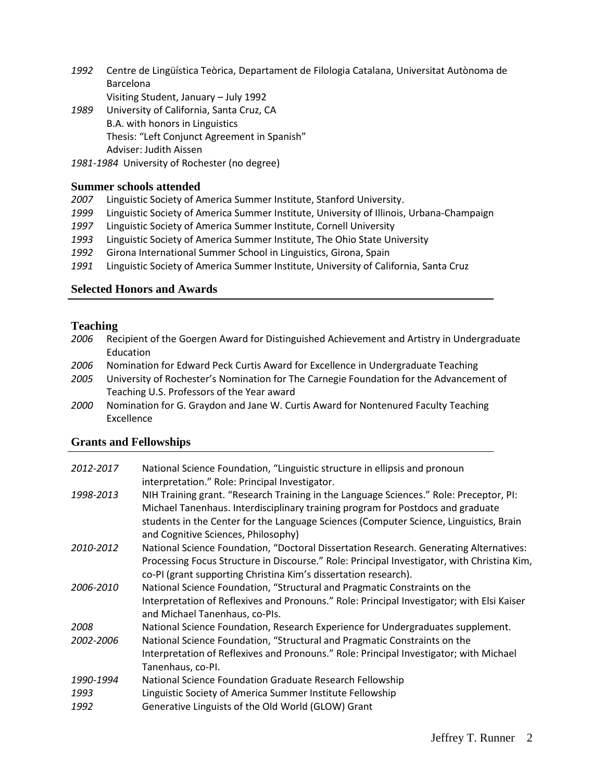- *1992* Centre de Lingüística Teòrica, Departament de Filologia Catalana, Universitat Autònoma de Barcelona
	- Visiting Student, January July 1992
- *1989* University of California, Santa Cruz, CA B.A. with honors in Linguistics Thesis: "Left Conjunct Agreement in Spanish" Adviser: Judith Aissen
- *1981-1984* University of Rochester (no degree)

## **Summer schools attended**

- *2007* Linguistic Society of America Summer Institute, Stanford University.
- *1999* Linguistic Society of America Summer Institute, University of Illinois, Urbana-Champaign
- *1997* Linguistic Society of America Summer Institute, Cornell University
- *1993* Linguistic Society of America Summer Institute, The Ohio State University
- *1992* Girona International Summer School in Linguistics, Girona, Spain
- *1991* Linguistic Society of America Summer Institute, University of California, Santa Cruz

## **Selected Honors and Awards**

## **Teaching**

- *2006* Recipient of the Goergen Award for Distinguished Achievement and Artistry in Undergraduate Education
- *2006* Nomination for Edward Peck Curtis Award for Excellence in Undergraduate Teaching
- *2005* University of Rochester's Nomination for The Carnegie Foundation for the Advancement of Teaching U.S. Professors of the Year award
- *2000* Nomination for G. Graydon and Jane W. Curtis Award for Nontenured Faculty Teaching Excellence

## **Grants and Fellowships**

| 2012-2017 | National Science Foundation, "Linguistic structure in ellipsis and pronoun<br>interpretation." Role: Principal Investigator.                                                                                                                                                                               |
|-----------|------------------------------------------------------------------------------------------------------------------------------------------------------------------------------------------------------------------------------------------------------------------------------------------------------------|
| 1998-2013 | NIH Training grant. "Research Training in the Language Sciences." Role: Preceptor, PI:<br>Michael Tanenhaus. Interdisciplinary training program for Postdocs and graduate<br>students in the Center for the Language Sciences (Computer Science, Linguistics, Brain<br>and Cognitive Sciences, Philosophy) |
| 2010-2012 | National Science Foundation, "Doctoral Dissertation Research. Generating Alternatives:<br>Processing Focus Structure in Discourse." Role: Principal Investigator, with Christina Kim,<br>co-PI (grant supporting Christina Kim's dissertation research).                                                   |
| 2006-2010 | National Science Foundation, "Structural and Pragmatic Constraints on the<br>Interpretation of Reflexives and Pronouns." Role: Principal Investigator; with Elsi Kaiser<br>and Michael Tanenhaus, co-PIs.                                                                                                  |
| 2008      | National Science Foundation, Research Experience for Undergraduates supplement.                                                                                                                                                                                                                            |
| 2002-2006 | National Science Foundation, "Structural and Pragmatic Constraints on the                                                                                                                                                                                                                                  |
|           | Interpretation of Reflexives and Pronouns." Role: Principal Investigator; with Michael<br>Tanenhaus, co-PI.                                                                                                                                                                                                |
| 1990-1994 | National Science Foundation Graduate Research Fellowship                                                                                                                                                                                                                                                   |
| 1993      | Linguistic Society of America Summer Institute Fellowship                                                                                                                                                                                                                                                  |
| 1992      | Generative Linguists of the Old World (GLOW) Grant                                                                                                                                                                                                                                                         |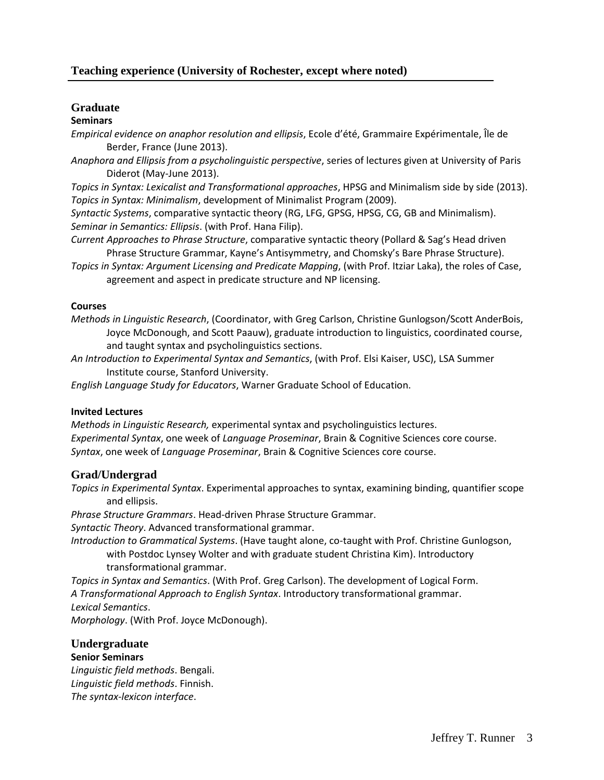## **Graduate**

#### **Seminars**

*Empirical evidence on anaphor resolution and ellipsis*, Ecole d'été, Grammaire Expérimentale, Île de Berder, France (June 2013).

*Anaphora and Ellipsis from a psycholinguistic perspective*, series of lectures given at University of Paris Diderot (May-June 2013).

*Topics in Syntax: Lexicalist and Transformational approaches*, HPSG and Minimalism side by side (2013). *Topics in Syntax: Minimalism*, development of Minimalist Program (2009).

*Syntactic Systems*, comparative syntactic theory (RG, LFG, GPSG, HPSG, CG, GB and Minimalism). *Seminar in Semantics: Ellipsis*. (with Prof. Hana Filip).

*Current Approaches to Phrase Structure*, comparative syntactic theory (Pollard & Sag's Head driven Phrase Structure Grammar, Kayne's Antisymmetry, and Chomsky's Bare Phrase Structure).

*Topics in Syntax: Argument Licensing and Predicate Mapping*, (with Prof. Itziar Laka), the roles of Case, agreement and aspect in predicate structure and NP licensing.

#### **Courses**

*Methods in Linguistic Research*, (Coordinator, with Greg Carlson, Christine Gunlogson/Scott AnderBois, Joyce McDonough, and Scott Paauw), graduate introduction to linguistics, coordinated course, and taught syntax and psycholinguistics sections.

*An Introduction to Experimental Syntax and Semantics*, (with Prof. Elsi Kaiser, USC), LSA Summer Institute course, Stanford University.

*English Language Study for Educators*, Warner Graduate School of Education.

## **Invited Lectures**

*Methods in Linguistic Research,* experimental syntax and psycholinguistics lectures. *Experimental Syntax*, one week of *Language Proseminar*, Brain & Cognitive Sciences core course. *Syntax*, one week of *Language Proseminar*, Brain & Cognitive Sciences core course.

## **Grad/Undergrad**

*Topics in Experimental Syntax*. Experimental approaches to syntax, examining binding, quantifier scope and ellipsis.

*Phrase Structure Grammars*. Head-driven Phrase Structure Grammar.

*Syntactic Theory*. Advanced transformational grammar.

*Introduction to Grammatical Systems*. (Have taught alone, co-taught with Prof. Christine Gunlogson, with Postdoc Lynsey Wolter and with graduate student Christina Kim). Introductory transformational grammar.

*Topics in Syntax and Semantics*. (With Prof. Greg Carlson). The development of Logical Form. *A Transformational Approach to English Syntax*. Introductory transformational grammar. *Lexical Semantics*.

*Morphology*. (With Prof. Joyce McDonough).

## **Undergraduate Senior Seminars**

*Linguistic field methods*. Bengali. *Linguistic field methods*. Finnish. *The syntax-lexicon interface*.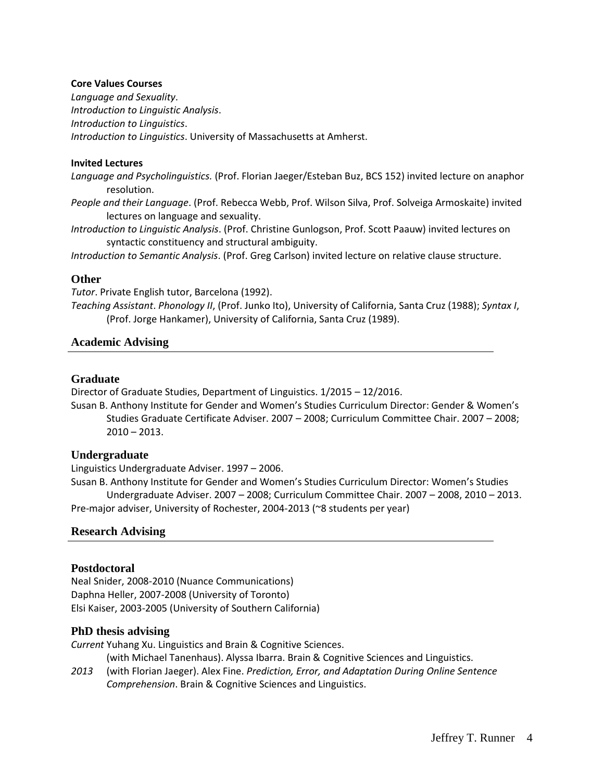#### **Core Values Courses**

*Language and Sexuality*. *Introduction to Linguistic Analysis*. *Introduction to Linguistics*. *Introduction to Linguistics*. University of Massachusetts at Amherst.

#### **Invited Lectures**

*Language and Psycholinguistics.* (Prof. Florian Jaeger/Esteban Buz, BCS 152) invited lecture on anaphor resolution.

- *People and their Language*. (Prof. Rebecca Webb, Prof. Wilson Silva, Prof. Solveiga Armoskaite) invited lectures on language and sexuality.
- *Introduction to Linguistic Analysis*. (Prof. Christine Gunlogson, Prof. Scott Paauw) invited lectures on syntactic constituency and structural ambiguity.

*Introduction to Semantic Analysis*. (Prof. Greg Carlson) invited lecture on relative clause structure.

#### **Other**

*Tutor*. Private English tutor, Barcelona (1992).

*Teaching Assistant*. *Phonology II*, (Prof. Junko Ito), University of California, Santa Cruz (1988); *Syntax I*, (Prof. Jorge Hankamer), University of California, Santa Cruz (1989).

#### **Academic Advising**

#### **Graduate**

Director of Graduate Studies, Department of Linguistics. 1/2015 – 12/2016.

Susan B. Anthony Institute for Gender and Women's Studies Curriculum Director: Gender & Women's Studies Graduate Certificate Adviser. 2007 – 2008; Curriculum Committee Chair. 2007 – 2008; 2010 – 2013.

#### **Undergraduate**

Linguistics Undergraduate Adviser. 1997 – 2006.

Susan B. Anthony Institute for Gender and Women's Studies Curriculum Director: Women's Studies Undergraduate Adviser. 2007 – 2008; Curriculum Committee Chair. 2007 – 2008, 2010 – 2013. Pre-major adviser, University of Rochester, 2004-2013 (~8 students per year)

#### **Research Advising**

#### **Postdoctoral**

Neal Snider, 2008-2010 (Nuance Communications) Daphna Heller, 2007-2008 (University of Toronto) Elsi Kaiser, 2003-2005 (University of Southern California)

#### **PhD thesis advising**

*Current* Yuhang Xu. Linguistics and Brain & Cognitive Sciences. (with Michael Tanenhaus). Alyssa Ibarra. Brain & Cognitive Sciences and Linguistics.

*2013* (with Florian Jaeger). Alex Fine. *Prediction, Error, and Adaptation During Online Sentence Comprehension*. Brain & Cognitive Sciences and Linguistics.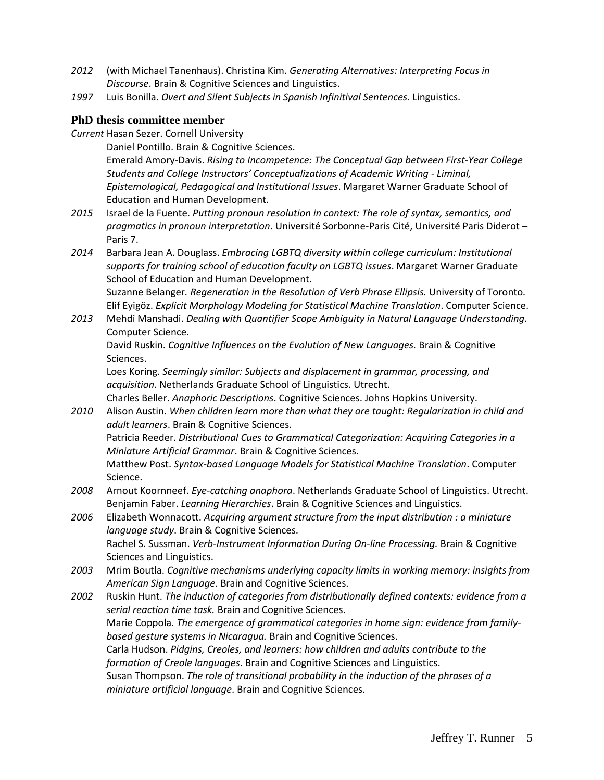- *2012* (with Michael Tanenhaus). Christina Kim. *Generating Alternatives: Interpreting Focus in Discourse*. Brain & Cognitive Sciences and Linguistics.
- *1997* Luis Bonilla. *Overt and Silent Subjects in Spanish Infinitival Sentences.* Linguistics.

## **PhD thesis committee member**

*Current* Hasan Sezer. Cornell University

Daniel Pontillo. Brain & Cognitive Sciences.

Emerald Amory-Davis. *Rising to Incompetence: The Conceptual Gap between First-Year College Students and College Instructors' Conceptualizations of Academic Writing - Liminal, Epistemological, Pedagogical and Institutional Issues*. Margaret Warner Graduate School of Education and Human Development.

- *2015* Israel de la Fuente. *Putting pronoun resolution in context: The role of syntax, semantics, and pragmatics in pronoun interpretation*. Université Sorbonne-Paris Cité, Université Paris Diderot – Paris 7.
- *2014* Barbara Jean A. Douglass. *Embracing LGBTQ diversity within college curriculum: Institutional supports for training school of education faculty on LGBTQ issues*. Margaret Warner Graduate School of Education and Human Development.

Suzanne Belanger*. Regeneration in the Resolution of Verb Phrase Ellipsis.* University of Toronto*.* Elif Eyigöz. *Explicit Morphology Modeling for Statistical Machine Translation*. Computer Science.

*2013* Mehdi Manshadi. *Dealing with Quantifier Scope Ambiguity in Natural Language Understanding.*  Computer Science.

David Ruskin. *Cognitive Influences on the Evolution of New Languages.* Brain & Cognitive Sciences.

Loes Koring. *Seemingly similar: Subjects and displacement in grammar, processing, and acquisition*. Netherlands Graduate School of Linguistics. Utrecht.

Charles Beller. *Anaphoric Descriptions*. Cognitive Sciences. Johns Hopkins University.

*2010* Alison Austin. *When children learn more than what they are taught: Regularization in child and adult learners*. Brain & Cognitive Sciences.

Patricia Reeder. *Distributional Cues to Grammatical Categorization: Acquiring Categories in a Miniature Artificial Grammar*. Brain & Cognitive Sciences.

Matthew Post. *Syntax-based Language Models for Statistical Machine Translation*. Computer Science.

- *2008* Arnout Koornneef. *Eye-catching anaphora*. Netherlands Graduate School of Linguistics. Utrecht. Benjamin Faber. *Learning Hierarchies*. Brain & Cognitive Sciences and Linguistics.
- *2006* Elizabeth Wonnacott. *Acquiring argument structure from the input distribution : a miniature language study*. Brain & Cognitive Sciences. Rachel S. Sussman. *Verb-Instrument Information During On-line Processing.* Brain & Cognitive Sciences and Linguistics.
- *2003* Mrim Boutla. *Cognitive mechanisms underlying capacity limits in working memory: insights from American Sign Language*. Brain and Cognitive Sciences.
- *2002* Ruskin Hunt. *The induction of categories from distributionally defined contexts: evidence from a serial reaction time task.* Brain and Cognitive Sciences. Marie Coppola. *The emergence of grammatical categories in home sign: evidence from familybased gesture systems in Nicaragua.* Brain and Cognitive Sciences. Carla Hudson. *Pidgins, Creoles, and learners: how children and adults contribute to the formation of Creole languages*. Brain and Cognitive Sciences and Linguistics. Susan Thompson. *The role of transitional probability in the induction of the phrases of a miniature artificial language*. Brain and Cognitive Sciences.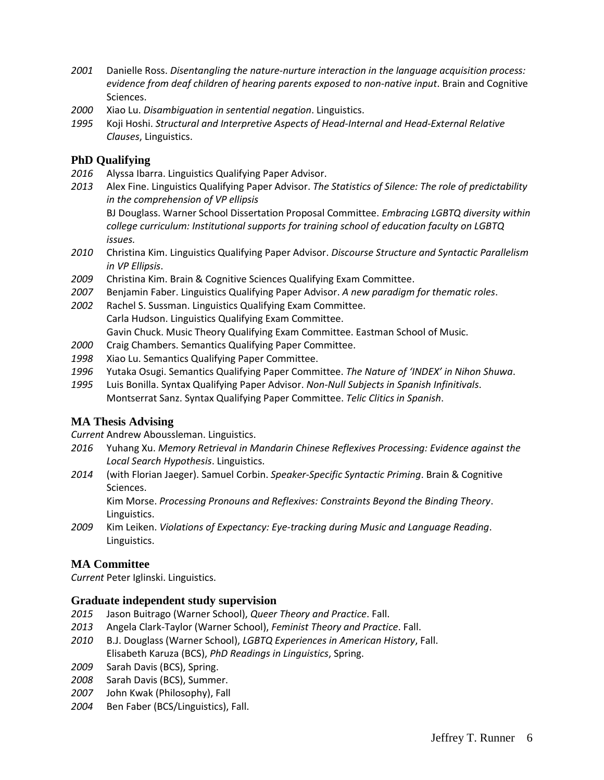- *2001* Danielle Ross. *Disentangling the nature-nurture interaction in the language acquisition process: evidence from deaf children of hearing parents exposed to non-native input*. Brain and Cognitive Sciences.
- *2000* Xiao Lu. *Disambiguation in sentential negation*. Linguistics.
- *1995* Koji Hoshi. *Structural and Interpretive Aspects of Head-Internal and Head-External Relative Clauses*, Linguistics.

## **PhD Qualifying**

- *2016* Alyssa Ibarra. Linguistics Qualifying Paper Advisor.
- *2013* Alex Fine. Linguistics Qualifying Paper Advisor. *The Statistics of Silence: The role of predictability in the comprehension of VP ellipsis* BJ Douglass. Warner School Dissertation Proposal Committee. *Embracing LGBTQ diversity within college curriculum: Institutional supports for training school of education faculty on LGBTQ issues.*
- *2010* Christina Kim. Linguistics Qualifying Paper Advisor. *Discourse Structure and Syntactic Parallelism in VP Ellipsis*.
- *2009* Christina Kim. Brain & Cognitive Sciences Qualifying Exam Committee.
- *2007* Benjamin Faber. Linguistics Qualifying Paper Advisor. *A new paradigm for thematic roles*.
- *2002* Rachel S. Sussman. Linguistics Qualifying Exam Committee. Carla Hudson. Linguistics Qualifying Exam Committee. Gavin Chuck. Music Theory Qualifying Exam Committee. Eastman School of Music.
- *2000* Craig Chambers. Semantics Qualifying Paper Committee.
- *1998* Xiao Lu. Semantics Qualifying Paper Committee.
- *1996* Yutaka Osugi. Semantics Qualifying Paper Committee. *The Nature of 'INDEX' in Nihon Shuwa*.
- *1995* Luis Bonilla. Syntax Qualifying Paper Advisor. *Non-Null Subjects in Spanish Infinitivals*. Montserrat Sanz. Syntax Qualifying Paper Committee. *Telic Clitics in Spanish*.

## **MA Thesis Advising**

*Current* Andrew Aboussleman. Linguistics.

- *2016* Yuhang Xu. *Memory Retrieval in Mandarin Chinese Reflexives Processing: Evidence against the Local Search Hypothesis*. Linguistics.
- *2014* (with Florian Jaeger). Samuel Corbin. *Speaker-Specific Syntactic Priming*. Brain & Cognitive Sciences.

Kim Morse. *Processing Pronouns and Reflexives: Constraints Beyond the Binding Theory*. Linguistics.

*2009* Kim Leiken. *Violations of Expectancy: Eye-tracking during Music and Language Reading*. Linguistics.

## **MA Committee**

*Current* Peter Iglinski. Linguistics.

## **Graduate independent study supervision**

- *2015* Jason Buitrago (Warner School), *Queer Theory and Practice*. Fall.
- *2013* Angela Clark-Taylor (Warner School), *Feminist Theory and Practice*. Fall.
- *2010* B.J. Douglass (Warner School), *LGBTQ Experiences in American History*, Fall. Elisabeth Karuza (BCS), *PhD Readings in Linguistics*, Spring.
- *2009* Sarah Davis (BCS), Spring.
- *2008* Sarah Davis (BCS), Summer.
- *2007* John Kwak (Philosophy), Fall
- *2004* Ben Faber (BCS/Linguistics), Fall.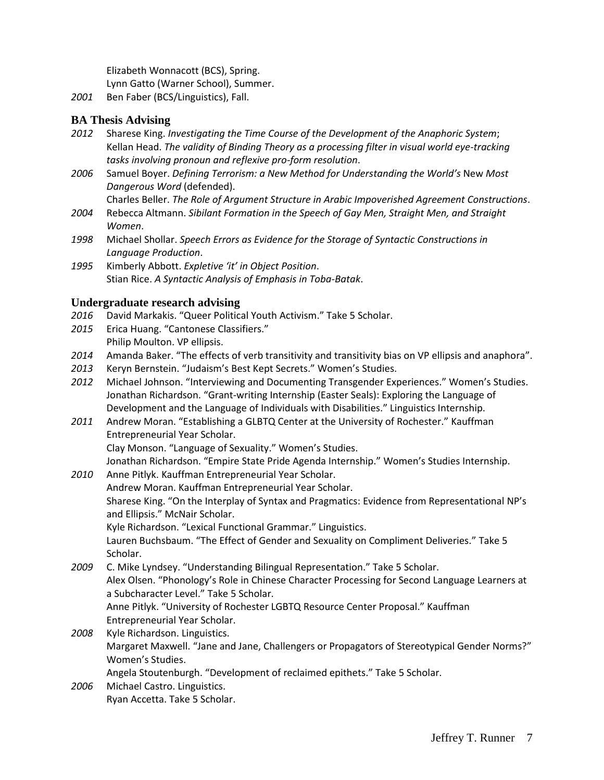Elizabeth Wonnacott (BCS), Spring. Lynn Gatto (Warner School), Summer.

*2001* Ben Faber (BCS/Linguistics), Fall.

## **BA Thesis Advising**

- *2012* Sharese King. *Investigating the Time Course of the Development of the Anaphoric System*; Kellan Head. *The validity of Binding Theory as a processing filter in visual world eye-tracking tasks involving pronoun and reflexive pro-form resolution*.
- *2006* Samuel Boyer. *Defining Terrorism: a New Method for Understanding the World's* New *Most Dangerous Word* (defended).

Charles Beller. *The Role of Argument Structure in Arabic Impoverished Agreement Constructions*.

- *2004* Rebecca Altmann. *Sibilant Formation in the Speech of Gay Men, Straight Men, and Straight Women*.
- *1998* Michael Shollar. *Speech Errors as Evidence for the Storage of Syntactic Constructions in Language Production*.
- *1995* Kimberly Abbott. *Expletive 'it' in Object Position*. Stian Rice. *A Syntactic Analysis of Emphasis in Toba-Batak*.

## **Undergraduate research advising**

- *2016* David Markakis. "Queer Political Youth Activism." Take 5 Scholar.
- *2015* Erica Huang. "Cantonese Classifiers." Philip Moulton. VP ellipsis.
- *2014* Amanda Baker. "The effects of verb transitivity and transitivity bias on VP ellipsis and anaphora".
- *2013* Keryn Bernstein. "Judaism's Best Kept Secrets." Women's Studies.
- *2012* Michael Johnson. "Interviewing and Documenting Transgender Experiences." Women's Studies. Jonathan Richardson. "Grant-writing Internship (Easter Seals): Exploring the Language of Development and the Language of Individuals with Disabilities." Linguistics Internship.
- *2011* Andrew Moran. "Establishing a GLBTQ Center at the University of Rochester." Kauffman Entrepreneurial Year Scholar. Clay Monson. "Language of Sexuality." Women's Studies.

Jonathan Richardson. "Empire State Pride Agenda Internship." Women's Studies Internship.

- *2010* Anne Pitlyk. Kauffman Entrepreneurial Year Scholar. Andrew Moran. Kauffman Entrepreneurial Year Scholar. Sharese King. "On the Interplay of Syntax and Pragmatics: Evidence from Representational NP's and Ellipsis." McNair Scholar. Kyle Richardson. "Lexical Functional Grammar." Linguistics. Lauren Buchsbaum. "The Effect of Gender and Sexuality on Compliment Deliveries." Take 5
- Scholar. *2009* C. Mike Lyndsey. "Understanding Bilingual Representation." Take 5 Scholar. Alex Olsen. "Phonology's Role in Chinese Character Processing for Second Language Learners at a Subcharacter Level." Take 5 Scholar. Anne Pitlyk. "University of Rochester LGBTQ Resource Center Proposal." Kauffman Entrepreneurial Year Scholar. *2008* Kyle Richardson. Linguistics.
	- Margaret Maxwell. "Jane and Jane, Challengers or Propagators of Stereotypical Gender Norms?" Women's Studies.

Angela Stoutenburgh. "Development of reclaimed epithets." Take 5 Scholar.

*2006* Michael Castro. Linguistics. Ryan Accetta. Take 5 Scholar.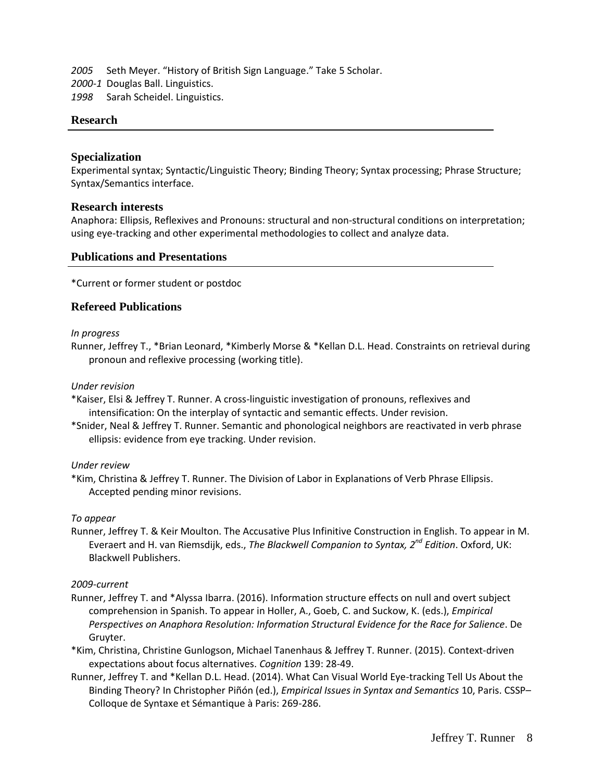*2005* Seth Meyer. "History of British Sign Language." Take 5 Scholar.

*2000-1* Douglas Ball. Linguistics.

*1998* Sarah Scheidel. Linguistics.

### **Research**

### **Specialization**

Experimental syntax; Syntactic/Linguistic Theory; Binding Theory; Syntax processing; Phrase Structure; Syntax/Semantics interface.

### **Research interests**

Anaphora: Ellipsis, Reflexives and Pronouns: structural and non-structural conditions on interpretation; using eye-tracking and other experimental methodologies to collect and analyze data.

### **Publications and Presentations**

\*Current or former student or postdoc

### **Refereed Publications**

#### *In progress*

Runner, Jeffrey T., \*Brian Leonard, \*Kimberly Morse & \*Kellan D.L. Head. Constraints on retrieval during pronoun and reflexive processing (working title).

#### *Under revision*

\*Kaiser, Elsi & Jeffrey T. Runner. A cross-linguistic investigation of pronouns, reflexives and intensification: On the interplay of syntactic and semantic effects. Under revision.

\*Snider, Neal & Jeffrey T. Runner. Semantic and phonological neighbors are reactivated in verb phrase ellipsis: evidence from eye tracking. Under revision.

#### *Under review*

\*Kim, Christina & Jeffrey T. Runner. The Division of Labor in Explanations of Verb Phrase Ellipsis. Accepted pending minor revisions.

#### *To appear*

Runner, Jeffrey T. & Keir Moulton. The Accusative Plus Infinitive Construction in English. To appear in M. Everaert and H. van Riemsdijk, eds., *The Blackwell Companion to Syntax, 2nd Edition*. Oxford, UK: Blackwell Publishers.

#### *2009-current*

- Runner, Jeffrey T. and \*Alyssa Ibarra. (2016). Information structure effects on null and overt subject comprehension in Spanish. To appear in Holler, A., Goeb, C. and Suckow, K. (eds.), *Empirical Perspectives on Anaphora Resolution: Information Structural Evidence for the Race for Salience*. De Gruyter.
- \*Kim, Christina, Christine Gunlogson, Michael Tanenhaus & Jeffrey T. Runner. (2015). Context-driven expectations about focus alternatives. *Cognition* 139: 28-49.
- Runner, Jeffrey T. and \*Kellan D.L. Head. (2014). What Can Visual World Eye-tracking Tell Us About the Binding Theory? In Christopher Piñón (ed.), *Empirical Issues in Syntax and Semantics* 10, Paris. CSSP– Colloque de Syntaxe et Sémantique à Paris: 269-286.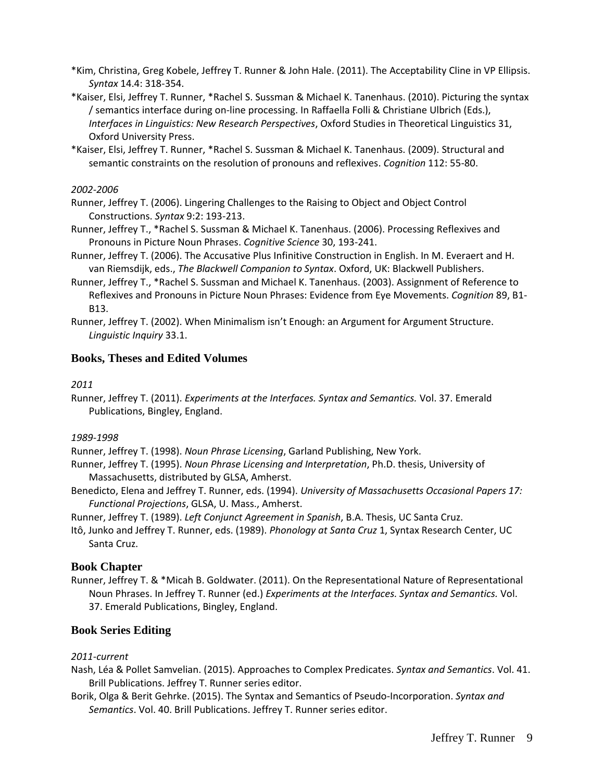- \*Kim, Christina, Greg Kobele, Jeffrey T. Runner & John Hale. (2011). The Acceptability Cline in VP Ellipsis. *Syntax* 14.4: 318-354.
- \*Kaiser, Elsi, Jeffrey T. Runner, \*Rachel S. Sussman & Michael K. Tanenhaus. (2010). Picturing the syntax / semantics interface during on-line processing. In Raffaella Folli & Christiane Ulbrich (Eds.), *Interfaces in Linguistics: New Research Perspectives*, Oxford Studies in Theoretical Linguistics 31, Oxford University Press.
- \*Kaiser, Elsi, Jeffrey T. Runner, \*Rachel S. Sussman & Michael K. Tanenhaus. (2009). Structural and semantic constraints on the resolution of pronouns and reflexives. *Cognition* 112: 55-80.

#### *2002-2006*

Runner, Jeffrey T. (2006). Lingering Challenges to the Raising to Object and Object Control Constructions. *Syntax* 9:2: 193-213.

- Runner, Jeffrey T., \*Rachel S. Sussman & Michael K. Tanenhaus. (2006). Processing Reflexives and Pronouns in Picture Noun Phrases. *Cognitive Science* 30, 193-241.
- Runner, Jeffrey T. (2006). The Accusative Plus Infinitive Construction in English. In M. Everaert and H. van Riemsdijk, eds., *The Blackwell Companion to Syntax*. Oxford, UK: Blackwell Publishers.
- Runner, Jeffrey T., \*Rachel S. Sussman and Michael K. Tanenhaus. (2003). Assignment of Reference to Reflexives and Pronouns in Picture Noun Phrases: Evidence from Eye Movements. *Cognition* 89, B1- B13.
- Runner, Jeffrey T. (2002). When Minimalism isn't Enough: an Argument for Argument Structure. *Linguistic Inquiry* 33.1.

#### **Books, Theses and Edited Volumes**

#### *2011*

Runner, Jeffrey T. (2011). *Experiments at the Interfaces. Syntax and Semantics.* Vol. 37. Emerald Publications, Bingley, England.

#### *1989-1998*

Runner, Jeffrey T. (1998). *Noun Phrase Licensing*, Garland Publishing, New York.

- Runner, Jeffrey T. (1995). *Noun Phrase Licensing and Interpretation*, Ph.D. thesis, University of Massachusetts, distributed by GLSA, Amherst.
- Benedicto, Elena and Jeffrey T. Runner, eds. (1994). *University of Massachusetts Occasional Papers 17: Functional Projections*, GLSA, U. Mass., Amherst.
- Runner, Jeffrey T. (1989). *Left Conjunct Agreement in Spanish*, B.A. Thesis, UC Santa Cruz.
- Itô, Junko and Jeffrey T. Runner, eds. (1989). *Phonology at Santa Cruz* 1, Syntax Research Center, UC Santa Cruz.

#### **Book Chapter**

Runner, Jeffrey T. & \*Micah B. Goldwater. (2011). On the Representational Nature of Representational Noun Phrases. In Jeffrey T. Runner (ed.) *Experiments at the Interfaces. Syntax and Semantics.* Vol. 37. Emerald Publications, Bingley, England.

#### **Book Series Editing**

#### *2011-current*

- Nash, Léa & Pollet Samvelian. (2015). Approaches to Complex Predicates. *Syntax and Semantics*. Vol. 41. Brill Publications. Jeffrey T. Runner series editor.
- Borik, Olga & Berit Gehrke. (2015). The Syntax and Semantics of Pseudo-Incorporation. *Syntax and Semantics*. Vol. 40. Brill Publications. Jeffrey T. Runner series editor.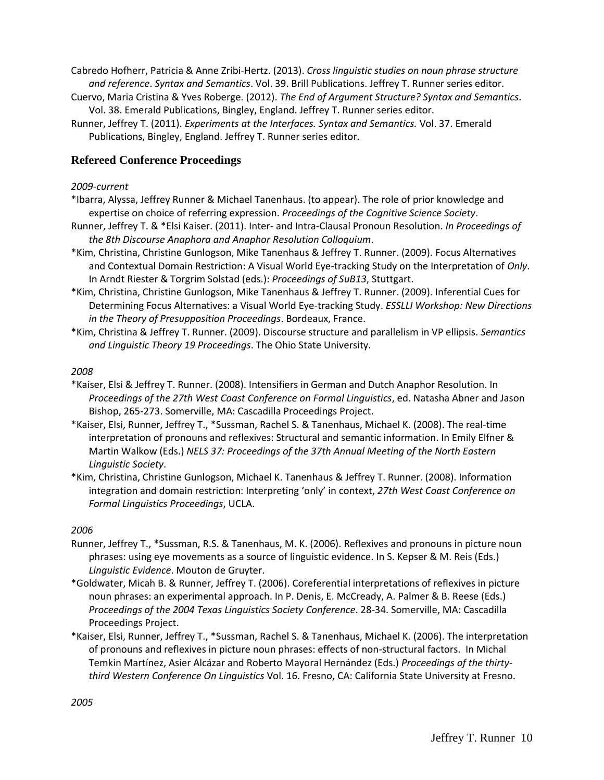Cabredo Hofherr, Patricia & Anne Zribi-Hertz. (2013). *Cross linguistic studies on noun phrase structure and reference*. *Syntax and Semantics*. Vol. 39. Brill Publications. Jeffrey T. Runner series editor.

- Cuervo, Maria Cristina & Yves Roberge. (2012). *The End of Argument Structure? Syntax and Semantics*. Vol. 38. Emerald Publications, Bingley, England. Jeffrey T. Runner series editor.
- Runner, Jeffrey T. (2011). *Experiments at the Interfaces. Syntax and Semantics.* Vol. 37. Emerald Publications, Bingley, England. Jeffrey T. Runner series editor.

## **Refereed Conference Proceedings**

#### *2009-current*

- \*Ibarra, Alyssa, Jeffrey Runner & Michael Tanenhaus. (to appear). The role of prior knowledge and expertise on choice of referring expression. *Proceedings of the Cognitive Science Society*.
- Runner, Jeffrey T. & \*Elsi Kaiser. (2011). Inter- and Intra-Clausal Pronoun Resolution. *In Proceedings of the 8th Discourse Anaphora and Anaphor Resolution Colloquium*.
- \*Kim, Christina, Christine Gunlogson, Mike Tanenhaus & Jeffrey T. Runner. (2009). Focus Alternatives and Contextual Domain Restriction: A Visual World Eye-tracking Study on the Interpretation of *Only*. In Arndt Riester & Torgrim Solstad (eds.): *Proceedings of SuB13*, Stuttgart.
- \*Kim, Christina, Christine Gunlogson, Mike Tanenhaus & Jeffrey T. Runner. (2009). Inferential Cues for Determining Focus Alternatives: a Visual World Eye-tracking Study. *ESSLLI Workshop: New Directions in the Theory of Presupposition Proceedings*. Bordeaux, France.
- \*Kim, Christina & Jeffrey T. Runner. (2009). Discourse structure and parallelism in VP ellipsis. *Semantics and Linguistic Theory 19 Proceedings*. The Ohio State University.

#### *2008*

- \*Kaiser, Elsi & Jeffrey T. Runner. (2008). Intensifiers in German and Dutch Anaphor Resolution. In *Proceedings of the 27th West Coast Conference on Formal Linguistics*, ed. Natasha Abner and Jason Bishop, 265-273. Somerville, MA: Cascadilla Proceedings Project.
- \*Kaiser, Elsi, Runner, Jeffrey T., \*Sussman, Rachel S. & Tanenhaus, Michael K. (2008). The real-time interpretation of pronouns and reflexives: Structural and semantic information. In Emily Elfner & Martin Walkow (Eds.) *NELS 37: Proceedings of the 37th Annual Meeting of the North Eastern Linguistic Society*.
- \*Kim, Christina, Christine Gunlogson, Michael K. Tanenhaus & Jeffrey T. Runner. (2008). Information integration and domain restriction: Interpreting 'only' in context, *27th West Coast Conference on Formal Linguistics Proceedings*, UCLA.

- Runner, Jeffrey T., \*Sussman, R.S. & Tanenhaus, M. K. (2006). Reflexives and pronouns in picture noun phrases: using eye movements as a source of linguistic evidence. In S. Kepser & M. Reis (Eds.) *Linguistic Evidence*. Mouton de Gruyter.
- \*Goldwater, Micah B. & Runner, Jeffrey T. (2006). Coreferential interpretations of reflexives in picture noun phrases: an experimental approach. In P. Denis, E. McCready, A. Palmer & B. Reese (Eds.) *Proceedings of the 2004 Texas Linguistics Society Conference*. 28-34. Somerville, MA: Cascadilla Proceedings Project.
- \*Kaiser, Elsi, Runner, Jeffrey T., \*Sussman, Rachel S. & Tanenhaus, Michael K. (2006). The interpretation of pronouns and reflexives in picture noun phrases: effects of non-structural factors. In Michal Temkin Martínez, Asier Alcázar and Roberto Mayoral Hernández (Eds.) *Proceedings of the thirtythird Western Conference On Linguistics* Vol. 16. Fresno, CA: California State University at Fresno.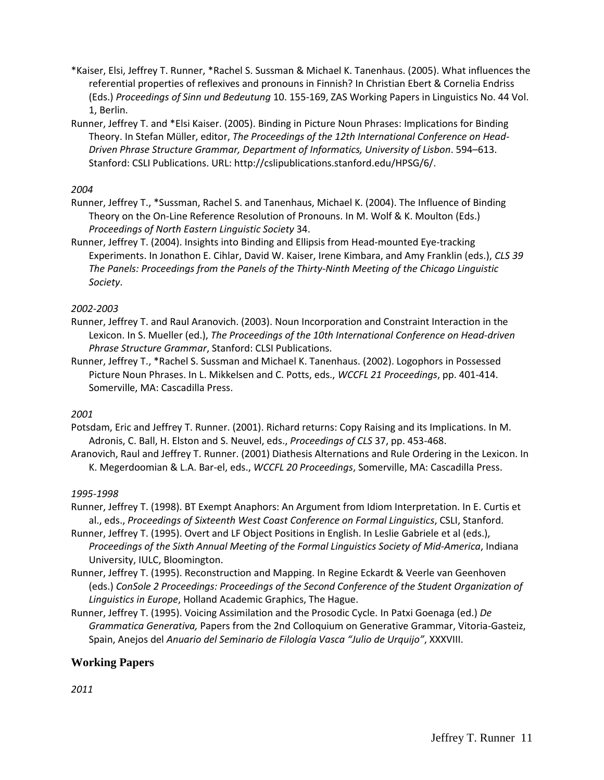- \*Kaiser, Elsi, Jeffrey T. Runner, \*Rachel S. Sussman & Michael K. Tanenhaus. (2005). What influences the referential properties of reflexives and pronouns in Finnish? In Christian Ebert & Cornelia Endriss (Eds.) *Proceedings of Sinn und Bedeutung* 10. 155-169, ZAS Working Papers in Linguistics No. 44 Vol. 1, Berlin.
- Runner, Jeffrey T. and \*Elsi Kaiser. (2005). Binding in Picture Noun Phrases: Implications for Binding Theory. In Stefan Müller, editor, *The Proceedings of the 12th International Conference on Head-Driven Phrase Structure Grammar, Department of Informatics, University of Lisbon*. 594–613. Stanford: CSLI Publications. URL: http://cslipublications.stanford.edu/HPSG/6/.

- Runner, Jeffrey T., \*Sussman, Rachel S. and Tanenhaus, Michael K. (2004). The Influence of Binding Theory on the On-Line Reference Resolution of Pronouns. In M. Wolf & K. Moulton (Eds.) *Proceedings of North Eastern Linguistic Society* 34.
- Runner, Jeffrey T. (2004). Insights into Binding and Ellipsis from Head-mounted Eye-tracking Experiments. In Jonathon E. Cihlar, David W. Kaiser, Irene Kimbara, and Amy Franklin (eds.), *CLS 39 The Panels: Proceedings from the Panels of the Thirty-Ninth Meeting of the Chicago Linguistic Society*.

### *2002-2003*

- Runner, Jeffrey T. and Raul Aranovich. (2003). Noun Incorporation and Constraint Interaction in the Lexicon. In S. Mueller (ed.), *The Proceedings of the 10th International Conference on Head-driven Phrase Structure Grammar*, Stanford: CLSI Publications.
- Runner, Jeffrey T., \*Rachel S. Sussman and Michael K. Tanenhaus. (2002). Logophors in Possessed Picture Noun Phrases. In L. Mikkelsen and C. Potts, eds., *WCCFL 21 Proceedings*, pp. 401-414. Somerville, MA: Cascadilla Press.

## *2001*

- Potsdam, Eric and Jeffrey T. Runner. (2001). Richard returns: Copy Raising and its Implications. In M. Adronis, C. Ball, H. Elston and S. Neuvel, eds., *Proceedings of CLS* 37, pp. 453-468.
- Aranovich, Raul and Jeffrey T. Runner. (2001) Diathesis Alternations and Rule Ordering in the Lexicon. In K. Megerdoomian & L.A. Bar-el, eds., *WCCFL 20 Proceedings*, Somerville, MA: Cascadilla Press.

#### *1995-1998*

- Runner, Jeffrey T. (1998). BT Exempt Anaphors: An Argument from Idiom Interpretation. In E. Curtis et al., eds., *Proceedings of Sixteenth West Coast Conference on Formal Linguistics*, CSLI, Stanford.
- Runner, Jeffrey T. (1995). Overt and LF Object Positions in English. In Leslie Gabriele et al (eds.), *Proceedings of the Sixth Annual Meeting of the Formal Linguistics Society of Mid-America*, Indiana University, IULC, Bloomington.
- Runner, Jeffrey T. (1995). Reconstruction and Mapping. In Regine Eckardt & Veerle van Geenhoven (eds.) *ConSole 2 Proceedings: Proceedings of the Second Conference of the Student Organization of Linguistics in Europe*, Holland Academic Graphics, The Hague.
- Runner, Jeffrey T. (1995). Voicing Assimilation and the Prosodic Cycle. In Patxi Goenaga (ed.) *De Grammatica Generativa,* Papers from the 2nd Colloquium on Generative Grammar, Vitoria-Gasteiz, Spain, Anejos del *Anuario del Seminario de Filología Vasca "Julio de Urquijo"*, XXXVIII.

## **Working Papers**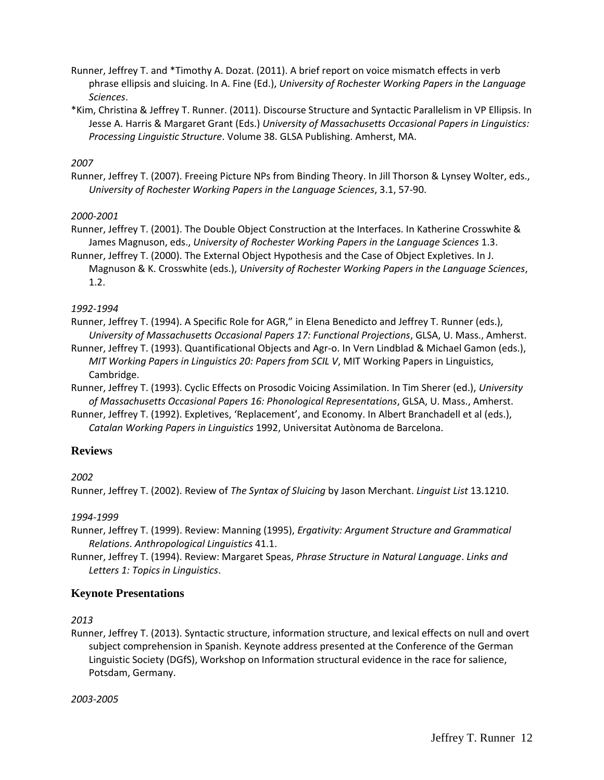- Runner, Jeffrey T. and \*Timothy A. Dozat. (2011). A brief report on voice mismatch effects in verb phrase ellipsis and sluicing. In A. Fine (Ed.), *University of Rochester Working Papers in the Language Sciences*.
- \*Kim, Christina & Jeffrey T. Runner. (2011). Discourse Structure and Syntactic Parallelism in VP Ellipsis. In Jesse A. Harris & Margaret Grant (Eds.) *University of Massachusetts Occasional Papers in Linguistics: Processing Linguistic Structure*. Volume 38. GLSA Publishing. Amherst, MA.

Runner, Jeffrey T. (2007). Freeing Picture NPs from Binding Theory. In Jill Thorson & Lynsey Wolter, eds., *University of Rochester Working Papers in the Language Sciences*, 3.1, 57-90.

## *2000-2001*

- Runner, Jeffrey T. (2001). The Double Object Construction at the Interfaces. In Katherine Crosswhite & James Magnuson, eds., *University of Rochester Working Papers in the Language Sciences* 1.3.
- Runner, Jeffrey T. (2000). The External Object Hypothesis and the Case of Object Expletives. In J. Magnuson & K. Crosswhite (eds.), *University of Rochester Working Papers in the Language Sciences*, 1.2.

*1992-1994*

Runner, Jeffrey T. (1994). A Specific Role for AGR," in Elena Benedicto and Jeffrey T. Runner (eds.), *University of Massachusetts Occasional Papers 17: Functional Projections*, GLSA, U. Mass., Amherst.

Runner, Jeffrey T. (1993). Quantificational Objects and Agr-o. In Vern Lindblad & Michael Gamon (eds.), *MIT Working Papers in Linguistics 20: Papers from SCIL V*, MIT Working Papers in Linguistics, Cambridge.

Runner, Jeffrey T. (1993). Cyclic Effects on Prosodic Voicing Assimilation. In Tim Sherer (ed.), *University of Massachusetts Occasional Papers 16: Phonological Representations*, GLSA, U. Mass., Amherst.

Runner, Jeffrey T. (1992). Expletives, 'Replacement', and Economy. In Albert Branchadell et al (eds.), *Catalan Working Papers in Linguistics* 1992, Universitat Autònoma de Barcelona.

## **Reviews**

*2002*

Runner, Jeffrey T. (2002). Review of *The Syntax of Sluicing* by Jason Merchant. *Linguist List* 13.1210.

*1994-1999*

Runner, Jeffrey T. (1999). Review: Manning (1995), *Ergativity: Argument Structure and Grammatical Relations*. *Anthropological Linguistics* 41.1.

Runner, Jeffrey T. (1994). Review: Margaret Speas, *Phrase Structure in Natural Language*. *Links and Letters 1: Topics in Linguistics*.

## **Keynote Presentations**

*2013*

Runner, Jeffrey T. (2013). Syntactic structure, information structure, and lexical effects on null and overt subject comprehension in Spanish. Keynote address presented at the Conference of the German Linguistic Society (DGfS), Workshop on Information structural evidence in the race for salience, Potsdam, Germany.

*2003-2005*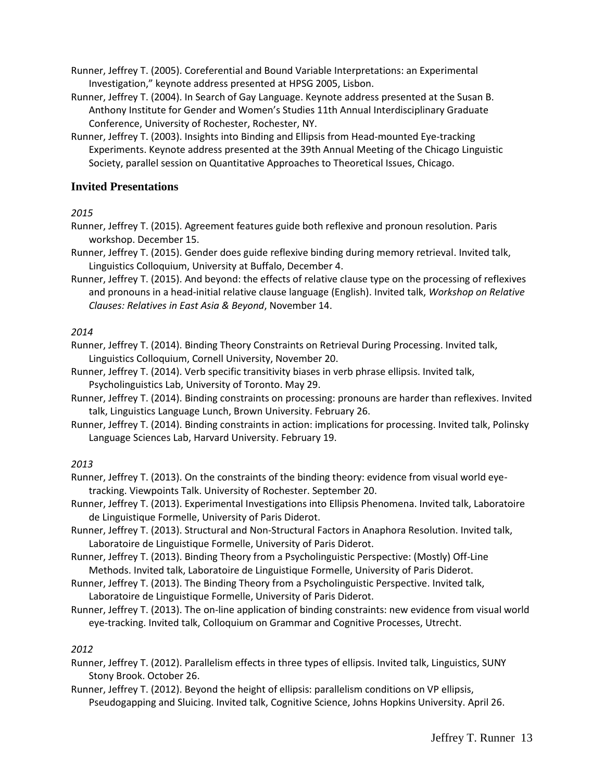Runner, Jeffrey T. (2005). Coreferential and Bound Variable Interpretations: an Experimental Investigation," keynote address presented at HPSG 2005, Lisbon.

Runner, Jeffrey T. (2004). In Search of Gay Language. Keynote address presented at the Susan B. Anthony Institute for Gender and Women's Studies 11th Annual Interdisciplinary Graduate Conference, University of Rochester, Rochester, NY.

Runner, Jeffrey T. (2003). Insights into Binding and Ellipsis from Head-mounted Eye-tracking Experiments. Keynote address presented at the 39th Annual Meeting of the Chicago Linguistic Society, parallel session on Quantitative Approaches to Theoretical Issues, Chicago.

## **Invited Presentations**

*2015*

Runner, Jeffrey T. (2015). Agreement features guide both reflexive and pronoun resolution. Paris workshop. December 15.

Runner, Jeffrey T. (2015). Gender does guide reflexive binding during memory retrieval. Invited talk, Linguistics Colloquium, University at Buffalo, December 4.

Runner, Jeffrey T. (2015). And beyond: the effects of relative clause type on the processing of reflexives and pronouns in a head-initial relative clause language (English). Invited talk, *Workshop on Relative Clauses: Relatives in East Asia & Beyond*, November 14.

### *2014*

Runner, Jeffrey T. (2014). Binding Theory Constraints on Retrieval During Processing. Invited talk, Linguistics Colloquium, Cornell University, November 20.

Runner, Jeffrey T. (2014). Verb specific transitivity biases in verb phrase ellipsis. Invited talk, Psycholinguistics Lab, University of Toronto. May 29.

Runner, Jeffrey T. (2014). Binding constraints on processing: pronouns are harder than reflexives. Invited talk, Linguistics Language Lunch, Brown University. February 26.

Runner, Jeffrey T. (2014). Binding constraints in action: implications for processing. Invited talk, Polinsky Language Sciences Lab, Harvard University. February 19.

## *2013*

Runner, Jeffrey T. (2013). On the constraints of the binding theory: evidence from visual world eyetracking. Viewpoints Talk. University of Rochester. September 20.

Runner, Jeffrey T. (2013). Experimental Investigations into Ellipsis Phenomena. Invited talk, Laboratoire de Linguistique Formelle, University of Paris Diderot.

Runner, Jeffrey T. (2013). Structural and Non-Structural Factors in Anaphora Resolution. Invited talk, Laboratoire de Linguistique Formelle, University of Paris Diderot.

- Runner, Jeffrey T. (2013). Binding Theory from a Psycholinguistic Perspective: (Mostly) Off-Line Methods. Invited talk, Laboratoire de Linguistique Formelle, University of Paris Diderot.
- Runner, Jeffrey T. (2013). The Binding Theory from a Psycholinguistic Perspective. Invited talk, Laboratoire de Linguistique Formelle, University of Paris Diderot.
- Runner, Jeffrey T. (2013). The on-line application of binding constraints: new evidence from visual world eye-tracking. Invited talk, Colloquium on Grammar and Cognitive Processes, Utrecht.

- Runner, Jeffrey T. (2012). Parallelism effects in three types of ellipsis. Invited talk, Linguistics, SUNY Stony Brook. October 26.
- Runner, Jeffrey T. (2012). Beyond the height of ellipsis: parallelism conditions on VP ellipsis, Pseudogapping and Sluicing. Invited talk, Cognitive Science, Johns Hopkins University. April 26.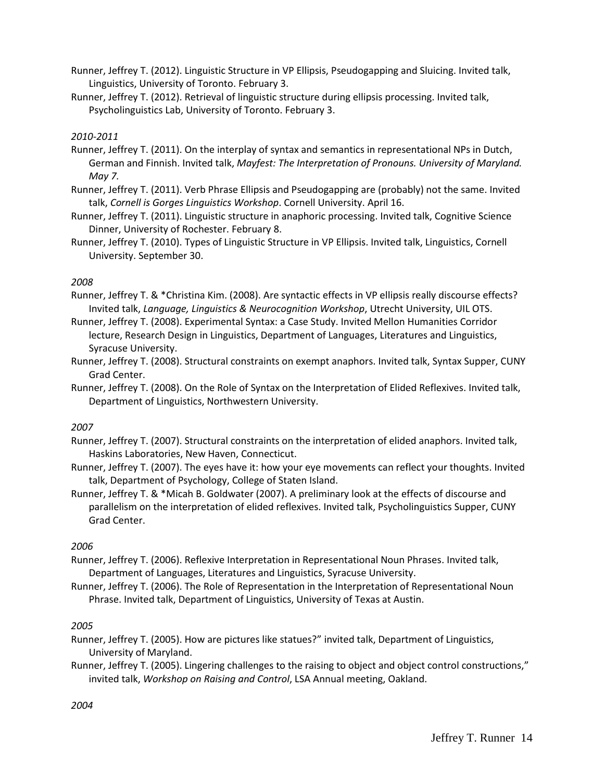- Runner, Jeffrey T. (2012). Linguistic Structure in VP Ellipsis, Pseudogapping and Sluicing. Invited talk, Linguistics, University of Toronto. February 3.
- Runner, Jeffrey T. (2012). Retrieval of linguistic structure during ellipsis processing. Invited talk, Psycholinguistics Lab, University of Toronto. February 3.

### *2010-2011*

- Runner, Jeffrey T. (2011). On the interplay of syntax and semantics in representational NPs in Dutch, German and Finnish. Invited talk, *Mayfest: The Interpretation of Pronouns. University of Maryland. May 7.*
- Runner, Jeffrey T. (2011). Verb Phrase Ellipsis and Pseudogapping are (probably) not the same. Invited talk, *Cornell is Gorges Linguistics Workshop*. Cornell University. April 16.
- Runner, Jeffrey T. (2011). Linguistic structure in anaphoric processing. Invited talk, Cognitive Science Dinner, University of Rochester. February 8.
- Runner, Jeffrey T. (2010). Types of Linguistic Structure in VP Ellipsis. Invited talk, Linguistics, Cornell University. September 30.

### *2008*

- Runner, Jeffrey T. & \*Christina Kim. (2008). Are syntactic effects in VP ellipsis really discourse effects? Invited talk, *Language, Linguistics & Neurocognition Workshop*, Utrecht University, UIL OTS.
- Runner, Jeffrey T. (2008). Experimental Syntax: a Case Study. Invited Mellon Humanities Corridor lecture, Research Design in Linguistics, Department of Languages, Literatures and Linguistics, Syracuse University.
- Runner, Jeffrey T. (2008). Structural constraints on exempt anaphors. Invited talk, Syntax Supper, CUNY Grad Center.
- Runner, Jeffrey T. (2008). On the Role of Syntax on the Interpretation of Elided Reflexives. Invited talk, Department of Linguistics, Northwestern University.

## *2007*

- Runner, Jeffrey T. (2007). Structural constraints on the interpretation of elided anaphors. Invited talk, Haskins Laboratories, New Haven, Connecticut.
- Runner, Jeffrey T. (2007). The eyes have it: how your eye movements can reflect your thoughts. Invited talk, Department of Psychology, College of Staten Island.
- Runner, Jeffrey T. & \*Micah B. Goldwater (2007). A preliminary look at the effects of discourse and parallelism on the interpretation of elided reflexives. Invited talk, Psycholinguistics Supper, CUNY Grad Center.

## *2006*

- Runner, Jeffrey T. (2006). Reflexive Interpretation in Representational Noun Phrases. Invited talk, Department of Languages, Literatures and Linguistics, Syracuse University.
- Runner, Jeffrey T. (2006). The Role of Representation in the Interpretation of Representational Noun Phrase. Invited talk, Department of Linguistics, University of Texas at Austin.

## *2005*

Runner, Jeffrey T. (2005). How are pictures like statues?" invited talk, Department of Linguistics, University of Maryland.

Runner, Jeffrey T. (2005). Lingering challenges to the raising to object and object control constructions," invited talk, *Workshop on Raising and Control*, LSA Annual meeting, Oakland.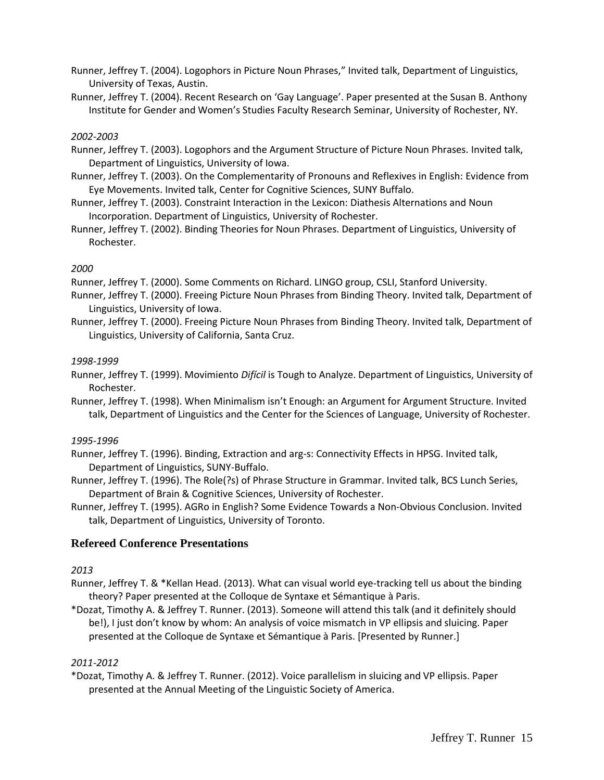Runner, Jeffrey T. (2004). Logophors in Picture Noun Phrases," Invited talk, Department of Linguistics, University of Texas, Austin.

Runner, Jeffrey T. (2004). Recent Research on 'Gay Language'. Paper presented at the Susan B. Anthony Institute for Gender and Women's Studies Faculty Research Seminar, University of Rochester, NY.

#### *2002-2003*

Runner, Jeffrey T. (2003). Logophors and the Argument Structure of Picture Noun Phrases. Invited talk, Department of Linguistics, University of Iowa.

- Runner, Jeffrey T. (2003). On the Complementarity of Pronouns and Reflexives in English: Evidence from Eye Movements. Invited talk, Center for Cognitive Sciences, SUNY Buffalo.
- Runner, Jeffrey T. (2003). Constraint Interaction in the Lexicon: Diathesis Alternations and Noun Incorporation. Department of Linguistics, University of Rochester.

Runner, Jeffrey T. (2002). Binding Theories for Noun Phrases. Department of Linguistics, University of Rochester.

### *2000*

Runner, Jeffrey T. (2000). Some Comments on Richard. LINGO group, CSLI, Stanford University.

- Runner, Jeffrey T. (2000). Freeing Picture Noun Phrases from Binding Theory. Invited talk, Department of Linguistics, University of Iowa.
- Runner, Jeffrey T. (2000). Freeing Picture Noun Phrases from Binding Theory. Invited talk, Department of Linguistics, University of California, Santa Cruz.

#### *1998-1999*

Runner, Jeffrey T. (1999). Movimiento *Difícil* is Tough to Analyze. Department of Linguistics, University of Rochester.

Runner, Jeffrey T. (1998). When Minimalism isn't Enough: an Argument for Argument Structure. Invited talk, Department of Linguistics and the Center for the Sciences of Language, University of Rochester.

#### *1995-1996*

Runner, Jeffrey T. (1996). Binding, Extraction and arg-s: Connectivity Effects in HPSG. Invited talk, Department of Linguistics, SUNY-Buffalo.

Runner, Jeffrey T. (1996). The Role(?s) of Phrase Structure in Grammar. Invited talk, BCS Lunch Series, Department of Brain & Cognitive Sciences, University of Rochester.

Runner, Jeffrey T. (1995). AGRo in English? Some Evidence Towards a Non-Obvious Conclusion. Invited talk, Department of Linguistics, University of Toronto.

## **Refereed Conference Presentations**

## *2013*

- Runner, Jeffrey T. & \*Kellan Head. (2013). What can visual world eye-tracking tell us about the binding theory? Paper presented at the Colloque de Syntaxe et Sémantique à Paris.
- \*Dozat, Timothy A. & Jeffrey T. Runner. (2013). Someone will attend this talk (and it definitely should be!), I just don't know by whom: An analysis of voice mismatch in VP ellipsis and sluicing. Paper presented at the Colloque de Syntaxe et Sémantique à Paris. [Presented by Runner.]

#### *2011-2012*

\*Dozat, Timothy A. & Jeffrey T. Runner. (2012). Voice parallelism in sluicing and VP ellipsis. Paper presented at the Annual Meeting of the Linguistic Society of America.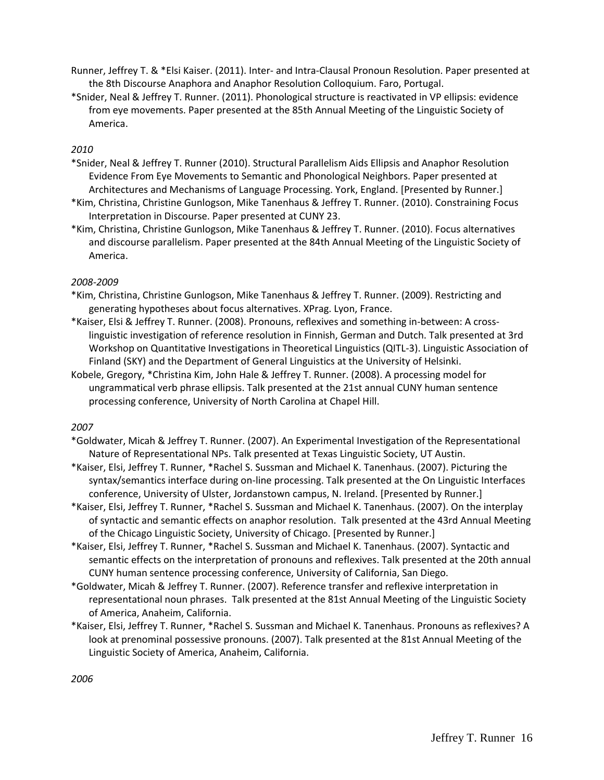- Runner, Jeffrey T. & \*Elsi Kaiser. (2011). Inter- and Intra-Clausal Pronoun Resolution. Paper presented at the 8th Discourse Anaphora and Anaphor Resolution Colloquium. Faro, Portugal.
- \*Snider, Neal & Jeffrey T. Runner. (2011). Phonological structure is reactivated in VP ellipsis: evidence from eye movements. Paper presented at the 85th Annual Meeting of the Linguistic Society of America.

- \*Snider, Neal & Jeffrey T. Runner (2010). Structural Parallelism Aids Ellipsis and Anaphor Resolution Evidence From Eye Movements to Semantic and Phonological Neighbors. Paper presented at Architectures and Mechanisms of Language Processing. York, England. [Presented by Runner.]
- \*Kim, Christina, Christine Gunlogson, Mike Tanenhaus & Jeffrey T. Runner. (2010). Constraining Focus Interpretation in Discourse. Paper presented at CUNY 23.
- \*Kim, Christina, Christine Gunlogson, Mike Tanenhaus & Jeffrey T. Runner. (2010). Focus alternatives and discourse parallelism. Paper presented at the 84th Annual Meeting of the Linguistic Society of America.

## *2008-2009*

- \*Kim, Christina, Christine Gunlogson, Mike Tanenhaus & Jeffrey T. Runner. (2009). Restricting and generating hypotheses about focus alternatives. XPrag. Lyon, France.
- \*Kaiser, Elsi & Jeffrey T. Runner. (2008). Pronouns, reflexives and something in-between: A crosslinguistic investigation of reference resolution in Finnish, German and Dutch. Talk presented at 3rd Workshop on Quantitative Investigations in Theoretical Linguistics (QITL-3). Linguistic Association of Finland (SKY) and the Department of General Linguistics at the University of Helsinki.
- Kobele, Gregory, \*Christina Kim, John Hale & Jeffrey T. Runner. (2008). A processing model for ungrammatical verb phrase ellipsis. Talk presented at the 21st annual CUNY human sentence processing conference, University of North Carolina at Chapel Hill.

- \*Goldwater, Micah & Jeffrey T. Runner. (2007). An Experimental Investigation of the Representational Nature of Representational NPs. Talk presented at Texas Linguistic Society, UT Austin.
- \*Kaiser, Elsi, Jeffrey T. Runner, \*Rachel S. Sussman and Michael K. Tanenhaus. (2007). Picturing the syntax/semantics interface during on-line processing. Talk presented at the On Linguistic Interfaces conference, University of Ulster, Jordanstown campus, N. Ireland. [Presented by Runner.]
- \*Kaiser, Elsi, Jeffrey T. Runner, \*Rachel S. Sussman and Michael K. Tanenhaus. (2007). On the interplay of syntactic and semantic effects on anaphor resolution. Talk presented at the 43rd Annual Meeting of the Chicago Linguistic Society, University of Chicago. [Presented by Runner.]
- \*Kaiser, Elsi, Jeffrey T. Runner, \*Rachel S. Sussman and Michael K. Tanenhaus. (2007). Syntactic and semantic effects on the interpretation of pronouns and reflexives. Talk presented at the 20th annual CUNY human sentence processing conference, University of California, San Diego.
- \*Goldwater, Micah & Jeffrey T. Runner. (2007). Reference transfer and reflexive interpretation in representational noun phrases. Talk presented at the 81st Annual Meeting of the Linguistic Society of America, Anaheim, California.
- \*Kaiser, Elsi, Jeffrey T. Runner, \*Rachel S. Sussman and Michael K. Tanenhaus. Pronouns as reflexives? A look at prenominal possessive pronouns. (2007). Talk presented at the 81st Annual Meeting of the Linguistic Society of America, Anaheim, California.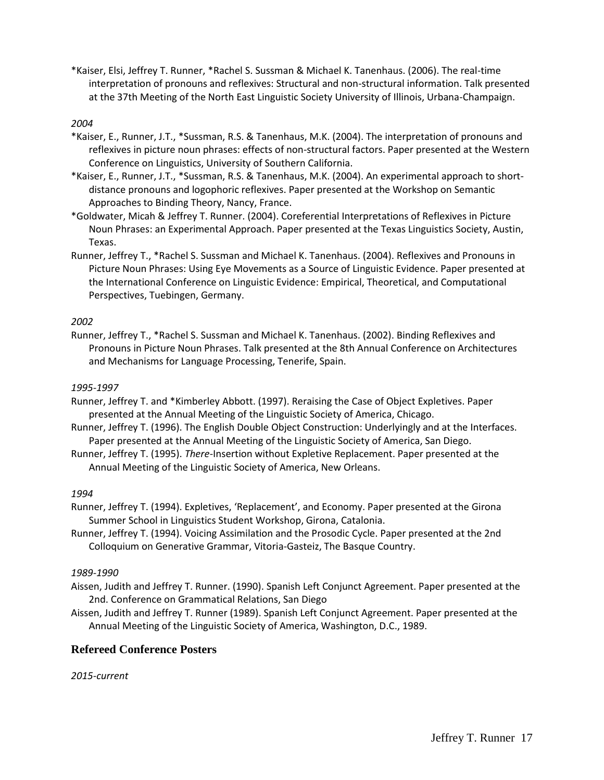\*Kaiser, Elsi, Jeffrey T. Runner, \*Rachel S. Sussman & Michael K. Tanenhaus. (2006). The real-time interpretation of pronouns and reflexives: Structural and non-structural information. Talk presented at the 37th Meeting of the North East Linguistic Society University of Illinois, Urbana-Champaign.

#### *2004*

- \*Kaiser, E., Runner, J.T., \*Sussman, R.S. & Tanenhaus, M.K. (2004). The interpretation of pronouns and reflexives in picture noun phrases: effects of non-structural factors. Paper presented at the Western Conference on Linguistics, University of Southern California.
- \*Kaiser, E., Runner, J.T., \*Sussman, R.S. & Tanenhaus, M.K. (2004). An experimental approach to shortdistance pronouns and logophoric reflexives. Paper presented at the Workshop on Semantic Approaches to Binding Theory, Nancy, France.
- \*Goldwater, Micah & Jeffrey T. Runner. (2004). Coreferential Interpretations of Reflexives in Picture Noun Phrases: an Experimental Approach. Paper presented at the Texas Linguistics Society, Austin, Texas.
- Runner, Jeffrey T., \*Rachel S. Sussman and Michael K. Tanenhaus. (2004). Reflexives and Pronouns in Picture Noun Phrases: Using Eye Movements as a Source of Linguistic Evidence. Paper presented at the International Conference on Linguistic Evidence: Empirical, Theoretical, and Computational Perspectives, Tuebingen, Germany.

#### *2002*

Runner, Jeffrey T., \*Rachel S. Sussman and Michael K. Tanenhaus. (2002). Binding Reflexives and Pronouns in Picture Noun Phrases. Talk presented at the 8th Annual Conference on Architectures and Mechanisms for Language Processing, Tenerife, Spain.

### *1995-1997*

- Runner, Jeffrey T. and \*Kimberley Abbott. (1997). Reraising the Case of Object Expletives. Paper presented at the Annual Meeting of the Linguistic Society of America, Chicago.
- Runner, Jeffrey T. (1996). The English Double Object Construction: Underlyingly and at the Interfaces. Paper presented at the Annual Meeting of the Linguistic Society of America, San Diego.
- Runner, Jeffrey T. (1995). *There*-Insertion without Expletive Replacement. Paper presented at the Annual Meeting of the Linguistic Society of America, New Orleans.

#### *1994*

- Runner, Jeffrey T. (1994). Expletives, 'Replacement', and Economy. Paper presented at the Girona Summer School in Linguistics Student Workshop, Girona, Catalonia.
- Runner, Jeffrey T. (1994). Voicing Assimilation and the Prosodic Cycle. Paper presented at the 2nd Colloquium on Generative Grammar, Vitoria-Gasteiz, The Basque Country.

#### *1989-1990*

- Aissen, Judith and Jeffrey T. Runner. (1990). Spanish Left Conjunct Agreement. Paper presented at the 2nd. Conference on Grammatical Relations, San Diego
- Aissen, Judith and Jeffrey T. Runner (1989). Spanish Left Conjunct Agreement. Paper presented at the Annual Meeting of the Linguistic Society of America, Washington, D.C., 1989.

## **Refereed Conference Posters**

## *2015-current*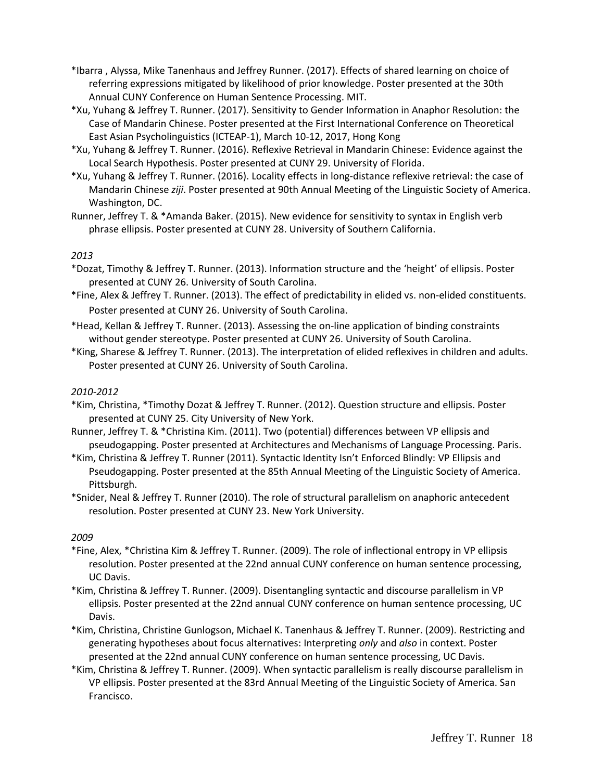- \*Ibarra , Alyssa, Mike Tanenhaus and Jeffrey Runner. (2017). Effects of shared learning on choice of referring expressions mitigated by likelihood of prior knowledge. Poster presented at the 30th Annual CUNY Conference on Human Sentence Processing. MIT.
- \*Xu, Yuhang & Jeffrey T. Runner. (2017). Sensitivity to Gender Information in Anaphor Resolution: the Case of Mandarin Chinese. Poster presented at the First International Conference on Theoretical East Asian Psycholinguistics (ICTEAP-1), March 10-12, 2017, Hong Kong
- \*Xu, Yuhang & Jeffrey T. Runner. (2016). Reflexive Retrieval in Mandarin Chinese: Evidence against the Local Search Hypothesis. Poster presented at CUNY 29. University of Florida.
- \*Xu, Yuhang & Jeffrey T. Runner. (2016). Locality effects in long-distance reflexive retrieval: the case of Mandarin Chinese *ziji*. Poster presented at 90th Annual Meeting of the Linguistic Society of America. Washington, DC.
- Runner, Jeffrey T. & \*Amanda Baker. (2015). New evidence for sensitivity to syntax in English verb phrase ellipsis. Poster presented at CUNY 28. University of Southern California.

\*Dozat, Timothy & Jeffrey T. Runner. (2013). Information structure and the 'height' of ellipsis. Poster presented at CUNY 26. University of South Carolina.

- \*Fine, Alex & Jeffrey T. Runner. (2013). The effect of predictability in elided vs. non-elided constituents. Poster presented at CUNY 26. University of South Carolina.
- \*Head, Kellan & Jeffrey T. Runner. (2013). Assessing the on-line application of binding constraints without gender stereotype. Poster presented at CUNY 26. University of South Carolina.
- \*King, Sharese & Jeffrey T. Runner. (2013). The interpretation of elided reflexives in children and adults. Poster presented at CUNY 26. University of South Carolina.

#### *2010-2012*

- \*Kim, Christina, \*Timothy Dozat & Jeffrey T. Runner. (2012). Question structure and ellipsis. Poster presented at CUNY 25. City University of New York.
- Runner, Jeffrey T. & \*Christina Kim. (2011). Two (potential) differences between VP ellipsis and pseudogapping. Poster presented at Architectures and Mechanisms of Language Processing. Paris.
- \*Kim, Christina & Jeffrey T. Runner (2011). Syntactic Identity Isn't Enforced Blindly: VP Ellipsis and Pseudogapping. Poster presented at the 85th Annual Meeting of the Linguistic Society of America. Pittsburgh.
- \*Snider, Neal & Jeffrey T. Runner (2010). The role of structural parallelism on anaphoric antecedent resolution. Poster presented at CUNY 23. New York University.

- \*Fine, Alex, \*Christina Kim & Jeffrey T. Runner. (2009). The role of inflectional entropy in VP ellipsis resolution. Poster presented at the 22nd annual CUNY conference on human sentence processing, UC Davis.
- \*Kim, Christina & Jeffrey T. Runner. (2009). Disentangling syntactic and discourse parallelism in VP ellipsis. Poster presented at the 22nd annual CUNY conference on human sentence processing, UC Davis.
- \*Kim, Christina, Christine Gunlogson, Michael K. Tanenhaus & Jeffrey T. Runner. (2009). Restricting and generating hypotheses about focus alternatives: Interpreting *only* and *also* in context. Poster presented at the 22nd annual CUNY conference on human sentence processing, UC Davis.
- \*Kim, Christina & Jeffrey T. Runner. (2009). When syntactic parallelism is really discourse parallelism in VP ellipsis. Poster presented at the 83rd Annual Meeting of the Linguistic Society of America. San Francisco.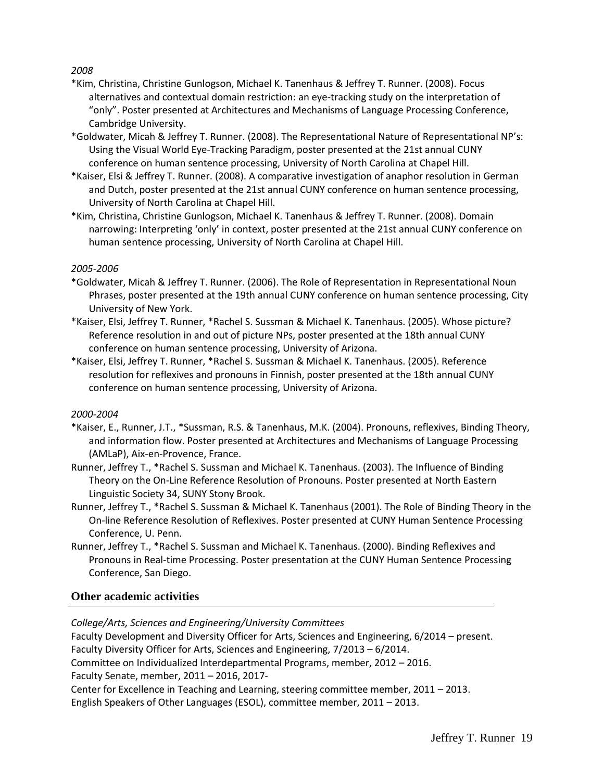- \*Kim, Christina, Christine Gunlogson, Michael K. Tanenhaus & Jeffrey T. Runner. (2008). Focus alternatives and contextual domain restriction: an eye-tracking study on the interpretation of "only". Poster presented at Architectures and Mechanisms of Language Processing Conference, Cambridge University.
- \*Goldwater, Micah & Jeffrey T. Runner. (2008). The Representational Nature of Representational NP's: Using the Visual World Eye-Tracking Paradigm, poster presented at the 21st annual CUNY conference on human sentence processing, University of North Carolina at Chapel Hill.
- \*Kaiser, Elsi & Jeffrey T. Runner. (2008). A comparative investigation of anaphor resolution in German and Dutch, poster presented at the 21st annual CUNY conference on human sentence processing, University of North Carolina at Chapel Hill.
- \*Kim, Christina, Christine Gunlogson, Michael K. Tanenhaus & Jeffrey T. Runner. (2008). Domain narrowing: Interpreting 'only' in context, poster presented at the 21st annual CUNY conference on human sentence processing, University of North Carolina at Chapel Hill.

### *2005-2006*

- \*Goldwater, Micah & Jeffrey T. Runner. (2006). The Role of Representation in Representational Noun Phrases, poster presented at the 19th annual CUNY conference on human sentence processing, City University of New York.
- \*Kaiser, Elsi, Jeffrey T. Runner, \*Rachel S. Sussman & Michael K. Tanenhaus. (2005). Whose picture? Reference resolution in and out of picture NPs, poster presented at the 18th annual CUNY conference on human sentence processing, University of Arizona.
- \*Kaiser, Elsi, Jeffrey T. Runner, \*Rachel S. Sussman & Michael K. Tanenhaus. (2005). Reference resolution for reflexives and pronouns in Finnish, poster presented at the 18th annual CUNY conference on human sentence processing, University of Arizona.

#### *2000-2004*

- \*Kaiser, E., Runner, J.T., \*Sussman, R.S. & Tanenhaus, M.K. (2004). Pronouns, reflexives, Binding Theory, and information flow. Poster presented at Architectures and Mechanisms of Language Processing (AMLaP), Aix-en-Provence, France.
- Runner, Jeffrey T., \*Rachel S. Sussman and Michael K. Tanenhaus. (2003). The Influence of Binding Theory on the On-Line Reference Resolution of Pronouns. Poster presented at North Eastern Linguistic Society 34, SUNY Stony Brook.
- Runner, Jeffrey T., \*Rachel S. Sussman & Michael K. Tanenhaus (2001). The Role of Binding Theory in the On-line Reference Resolution of Reflexives. Poster presented at CUNY Human Sentence Processing Conference, U. Penn.
- Runner, Jeffrey T., \*Rachel S. Sussman and Michael K. Tanenhaus. (2000). Binding Reflexives and Pronouns in Real-time Processing. Poster presentation at the CUNY Human Sentence Processing Conference, San Diego.

## **Other academic activities**

*College/Arts, Sciences and Engineering/University Committees*

Faculty Development and Diversity Officer for Arts, Sciences and Engineering, 6/2014 – present.

Faculty Diversity Officer for Arts, Sciences and Engineering, 7/2013 – 6/2014.

Committee on Individualized Interdepartmental Programs, member, 2012 – 2016.

Faculty Senate, member, 2011 – 2016, 2017-

Center for Excellence in Teaching and Learning, steering committee member, 2011 – 2013.

English Speakers of Other Languages (ESOL), committee member, 2011 – 2013.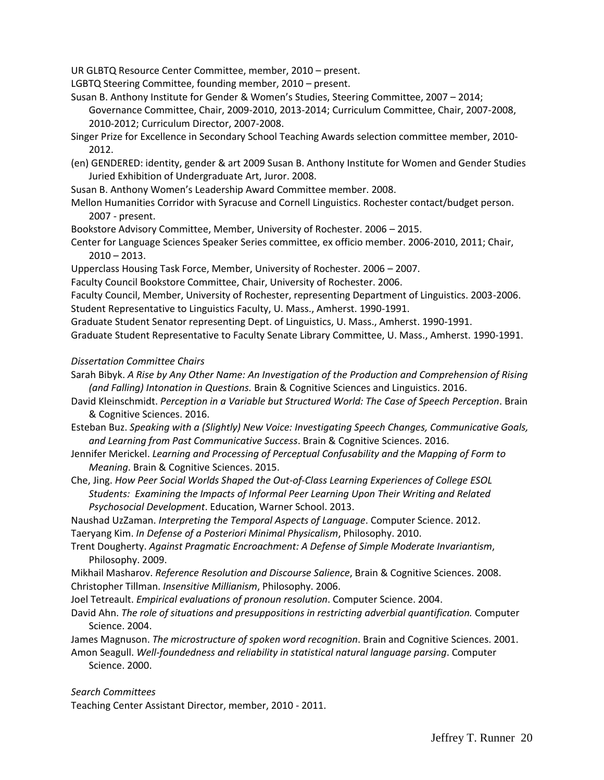UR GLBTQ Resource Center Committee, member, 2010 – present.

LGBTQ Steering Committee, founding member, 2010 – present.

- Susan B. Anthony Institute for Gender & Women's Studies, Steering Committee, 2007 2014; Governance Committee, Chair, 2009-2010, 2013-2014; Curriculum Committee, Chair, 2007-2008, 2010-2012; Curriculum Director, 2007-2008.
- Singer Prize for Excellence in Secondary School Teaching Awards selection committee member, 2010- 2012.
- (en) GENDERED: identity, gender & art 2009 Susan B. Anthony Institute for Women and Gender Studies Juried Exhibition of Undergraduate Art, Juror. 2008.
- Susan B. Anthony Women's Leadership Award Committee member. 2008.
- Mellon Humanities Corridor with Syracuse and Cornell Linguistics. Rochester contact/budget person. 2007 - present.
- Bookstore Advisory Committee, Member, University of Rochester. 2006 2015.
- Center for Language Sciences Speaker Series committee, ex officio member. 2006-2010, 2011; Chair,  $2010 - 2013$ .
- Upperclass Housing Task Force, Member, University of Rochester. 2006 2007.
- Faculty Council Bookstore Committee, Chair, University of Rochester. 2006.

Faculty Council, Member, University of Rochester, representing Department of Linguistics. 2003-2006. Student Representative to Linguistics Faculty, U. Mass., Amherst. 1990-1991.

Graduate Student Senator representing Dept. of Linguistics, U. Mass., Amherst. 1990-1991.

Graduate Student Representative to Faculty Senate Library Committee, U. Mass., Amherst. 1990-1991.

#### *Dissertation Committee Chairs*

- Sarah Bibyk. *A Rise by Any Other Name: An Investigation of the Production and Comprehension of Rising (and Falling) Intonation in Questions.* Brain & Cognitive Sciences and Linguistics. 2016.
- David Kleinschmidt. *Perception in a Variable but Structured World: The Case of Speech Perception*. Brain & Cognitive Sciences. 2016.
- Esteban Buz. *Speaking with a (Slightly) New Voice: Investigating Speech Changes, Communicative Goals, and Learning from Past Communicative Success*. Brain & Cognitive Sciences. 2016.
- Jennifer Merickel. *Learning and Processing of Perceptual Confusability and the Mapping of Form to Meaning*. Brain & Cognitive Sciences. 2015.
- Che, Jing. *How Peer Social Worlds Shaped the Out-of-Class Learning Experiences of College ESOL Students: Examining the Impacts of Informal Peer Learning Upon Their Writing and Related Psychosocial Development*. Education, Warner School. 2013.

Naushad UzZaman. *Interpreting the Temporal Aspects of Language*. Computer Science. 2012. Taeryang Kim. *In Defense of a Posteriori Minimal Physicalism*, Philosophy. 2010.

Trent Dougherty. *Against Pragmatic Encroachment: A Defense of Simple Moderate Invariantism*, Philosophy. 2009.

Mikhail Masharov. *Reference Resolution and Discourse Salience*, Brain & Cognitive Sciences. 2008. Christopher Tillman. *Insensitive Millianism*, Philosophy. 2006.

- Joel Tetreault. *Empirical evaluations of pronoun resolution*. Computer Science. 2004.
- David Ahn. *The role of situations and presuppositions in restricting adverbial quantification.* Computer Science. 2004.
- James Magnuson. *The microstructure of spoken word recognition*. Brain and Cognitive Sciences. 2001. Amon Seagull. *Well-foundedness and reliability in statistical natural language parsing*. Computer

Science. 2000.

*Search Committees*

Teaching Center Assistant Director, member, 2010 - 2011.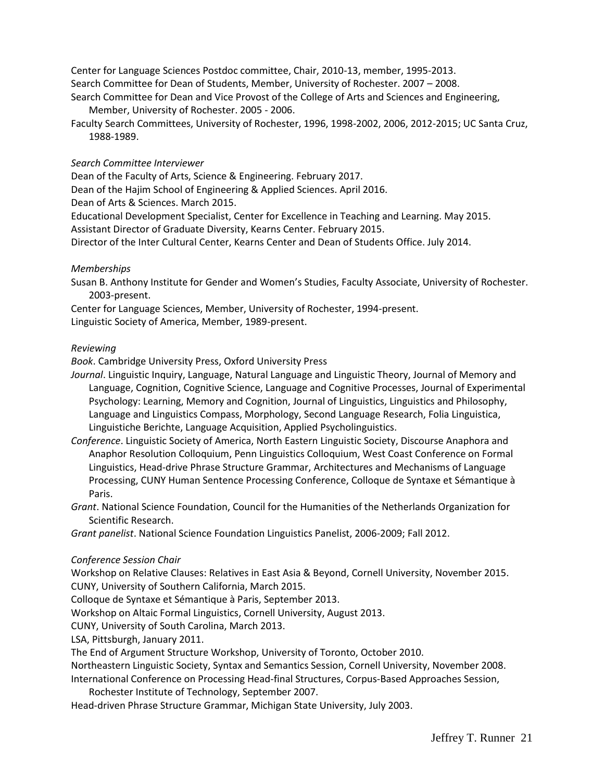Center for Language Sciences Postdoc committee, Chair, 2010-13, member, 1995-2013. Search Committee for Dean of Students, Member, University of Rochester. 2007 – 2008.

Search Committee for Dean and Vice Provost of the College of Arts and Sciences and Engineering, Member, University of Rochester. 2005 - 2006.

Faculty Search Committees, University of Rochester, 1996, 1998-2002, 2006, 2012-2015; UC Santa Cruz, 1988-1989.

#### *Search Committee Interviewer*

Dean of the Faculty of Arts, Science & Engineering. February 2017.

Dean of the Hajim School of Engineering & Applied Sciences. April 2016.

Dean of Arts & Sciences. March 2015.

Educational Development Specialist, Center for Excellence in Teaching and Learning. May 2015.

Assistant Director of Graduate Diversity, Kearns Center. February 2015.

Director of the Inter Cultural Center, Kearns Center and Dean of Students Office. July 2014.

#### *Memberships*

Susan B. Anthony Institute for Gender and Women's Studies, Faculty Associate, University of Rochester. 2003-present.

Center for Language Sciences, Member, University of Rochester, 1994-present. Linguistic Society of America, Member, 1989-present.

#### *Reviewing*

*Book*. Cambridge University Press, Oxford University Press

- *Journal*. Linguistic Inquiry, Language, Natural Language and Linguistic Theory, Journal of Memory and Language, Cognition, Cognitive Science, Language and Cognitive Processes, Journal of Experimental Psychology: Learning, Memory and Cognition, Journal of Linguistics, Linguistics and Philosophy, Language and Linguistics Compass, Morphology, Second Language Research, Folia Linguistica, Linguistiche Berichte, Language Acquisition, Applied Psycholinguistics.
- *Conference*. Linguistic Society of America, North Eastern Linguistic Society, Discourse Anaphora and Anaphor Resolution Colloquium, Penn Linguistics Colloquium, West Coast Conference on Formal Linguistics, Head-drive Phrase Structure Grammar, Architectures and Mechanisms of Language Processing, CUNY Human Sentence Processing Conference, Colloque de Syntaxe et Sémantique à Paris.
- *Grant*. National Science Foundation, Council for the Humanities of the Netherlands Organization for Scientific Research.

*Grant panelist*. National Science Foundation Linguistics Panelist, 2006-2009; Fall 2012.

#### *Conference Session Chair*

Workshop on Relative Clauses: Relatives in East Asia & Beyond, Cornell University, November 2015. CUNY, University of Southern California, March 2015.

Colloque de Syntaxe et Sémantique à Paris, September 2013.

Workshop on Altaic Formal Linguistics, Cornell University, August 2013.

CUNY, University of South Carolina, March 2013.

LSA, Pittsburgh, January 2011.

The End of Argument Structure Workshop, University of Toronto, October 2010.

Northeastern Linguistic Society, Syntax and Semantics Session, Cornell University, November 2008.

International Conference on Processing Head-final Structures, Corpus-Based Approaches Session,

Rochester Institute of Technology, September 2007.

Head-driven Phrase Structure Grammar, Michigan State University, July 2003.